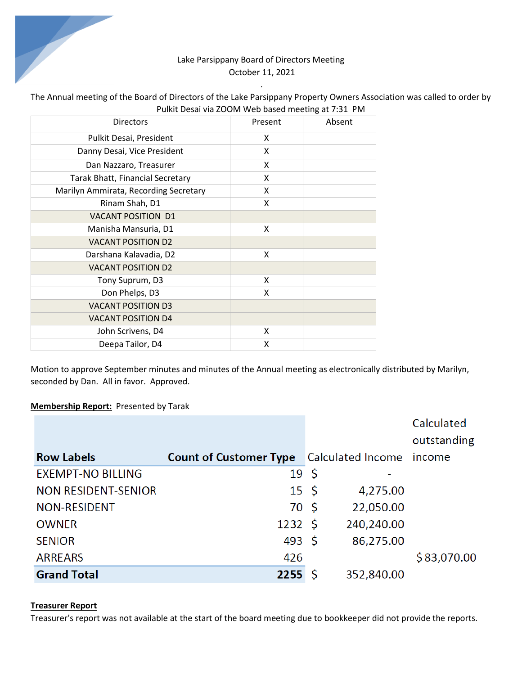

The Annual meeting of the Board of Directors of the Lake Parsippany Property Owners Association was called to order by Pulkit Desai via ZOOM Web based meeting at 7:31 PM

*.* 

| <b>Directors</b>                      | Present | Absent |
|---------------------------------------|---------|--------|
| Pulkit Desai, President               | X       |        |
| Danny Desai, Vice President           | x       |        |
| Dan Nazzaro, Treasurer                | X       |        |
| Tarak Bhatt, Financial Secretary      | X       |        |
| Marilyn Ammirata, Recording Secretary | X       |        |
| Rinam Shah, D1                        | X       |        |
| <b>VACANT POSITION D1</b>             |         |        |
| Manisha Mansuria, D1                  | X       |        |
| <b>VACANT POSITION D2</b>             |         |        |
| Darshana Kalavadia, D2                | X       |        |
| <b>VACANT POSITION D2</b>             |         |        |
| Tony Suprum, D3                       | X       |        |
| Don Phelps, D3                        | X       |        |
| <b>VACANT POSITION D3</b>             |         |        |
| <b>VACANT POSITION D4</b>             |         |        |
| John Scrivens, D4                     | X       |        |
| Deepa Tailor, D4                      | x       |        |

Motion to approve September minutes and minutes of the Annual meeting as electronically distributed by Marilyn, seconded by Dan. All in favor. Approved.

#### **Membership Report:** Presented by Tarak

|                            |                               |                   | Calculated  |
|----------------------------|-------------------------------|-------------------|-------------|
|                            |                               |                   | outstanding |
| <b>Row Labels</b>          | <b>Count of Customer Type</b> | Calculated Income | income      |
| <b>EXEMPT-NO BILLING</b>   | $19 \; \text{S}$              |                   |             |
| <b>NON RESIDENT-SENIOR</b> | $15 \; \text{S}$              | 4,275.00          |             |
| NON-RESIDENT               | 70 \$                         | 22,050.00         |             |
| <b>OWNER</b>               | $1232 \;$ \$                  | 240,240.00        |             |
| <b>SENIOR</b>              | 493 \$                        | 86,275.00         |             |
| <b>ARREARS</b>             | 426                           |                   | \$83,070.00 |
| <b>Grand Total</b>         | 2255                          | 352,840.00        |             |

#### **Treasurer Report**

Treasurer's report was not available at the start of the board meeting due to bookkeeper did not provide the reports.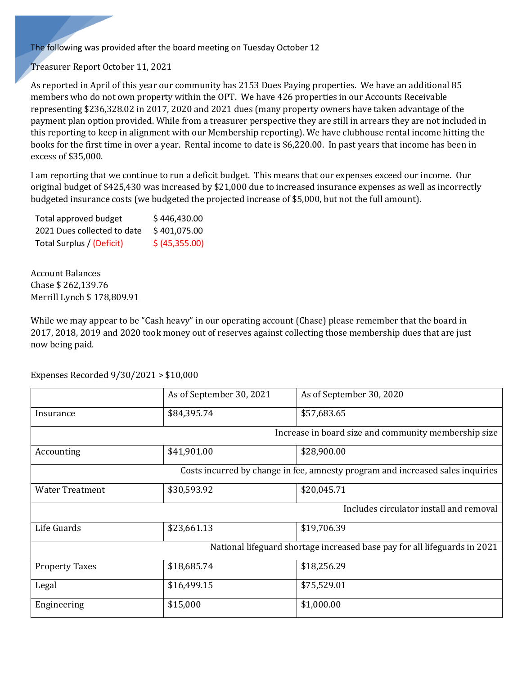The following was provided after the board meeting on Tuesday October 12

Treasurer Report October 11, 2021

As reported in April of this year our community has 2153 Dues Paying properties. We have an additional 85 members who do not own property within the OPT. We have 426 properties in our Accounts Receivable representing \$236,328.02 in 2017, 2020 and 2021 dues (many property owners have taken advantage of the payment plan option provided. While from a treasurer perspective they are still in arrears they are not included in this reporting to keep in alignment with our Membership reporting). We have clubhouse rental income hitting the books for the first time in over a year. Rental income to date is \$6,220.00. In past years that income has been in excess of \$35,000.

I am reporting that we continue to run a deficit budget. This means that our expenses exceed our income. Our original budget of \$425,430 was increased by \$21,000 due to increased insurance expenses as well as incorrectly budgeted insurance costs (we budgeted the projected increase of \$5,000, but not the full amount).

| Total approved budget       | \$446,430.00   |
|-----------------------------|----------------|
| 2021 Dues collected to date | \$401,075.00   |
| Total Surplus / (Deficit)   | \$ (45,355.00) |

Account Balances Chase \$ 262,139.76 Merrill Lynch \$ 178,809.91

While we may appear to be "Cash heavy" in our operating account (Chase) please remember that the board in 2017, 2018, 2019 and 2020 took money out of reserves against collecting those membership dues that are just now being paid.

|                                                                                | As of September 30, 2021 | As of September 30, 2020                                                  |  |
|--------------------------------------------------------------------------------|--------------------------|---------------------------------------------------------------------------|--|
| Insurance                                                                      | \$84,395.74              | \$57,683.65                                                               |  |
| Increase in board size and community membership size                           |                          |                                                                           |  |
| Accounting                                                                     | \$41,901.00              | \$28,900.00                                                               |  |
| Costs incurred by change in fee, amnesty program and increased sales inquiries |                          |                                                                           |  |
| Water Treatment                                                                | \$30,593.92              | \$20,045.71                                                               |  |
| Includes circulator install and removal                                        |                          |                                                                           |  |
| Life Guards                                                                    | \$23,661.13              | \$19,706.39                                                               |  |
|                                                                                |                          | National lifeguard shortage increased base pay for all lifeguards in 2021 |  |
| <b>Property Taxes</b>                                                          | \$18,685.74              | \$18,256.29                                                               |  |
| Legal                                                                          | \$16,499.15              | \$75,529.01                                                               |  |
| Engineering                                                                    | \$15,000                 | \$1,000.00                                                                |  |

Expenses Recorded 9/30/2021 > \$10,000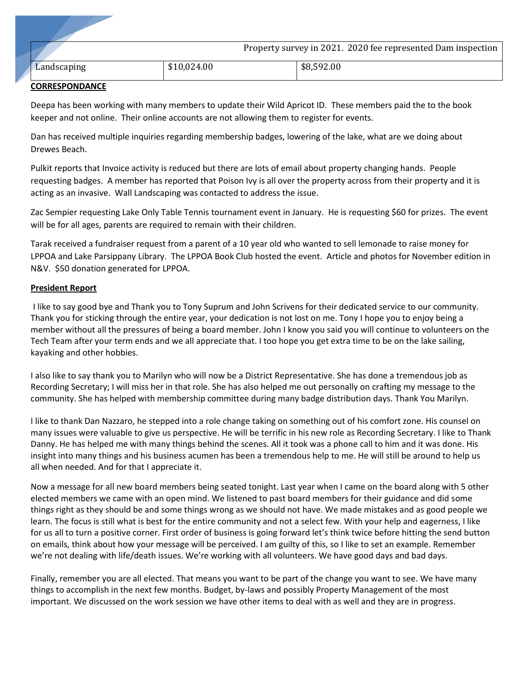|             |             | Property survey in 2021. 2020 fee represented Dam inspection |
|-------------|-------------|--------------------------------------------------------------|
| Landscaping | \$10,024.00 | \$8,592.00                                                   |

## **CORRESPONDANCE**

Deepa has been working with many members to update their Wild Apricot ID. These members paid the to the book keeper and not online. Their online accounts are not allowing them to register for events.

Dan has received multiple inquiries regarding membership badges, lowering of the lake, what are we doing about Drewes Beach.

Pulkit reports that Invoice activity is reduced but there are lots of email about property changing hands. People requesting badges. A member has reported that Poison Ivy is all over the property across from their property and it is acting as an invasive. Wall Landscaping was contacted to address the issue.

Zac Sempier requesting Lake Only Table Tennis tournament event in January. He is requesting \$60 for prizes. The event will be for all ages, parents are required to remain with their children.

Tarak received a fundraiser request from a parent of a 10 year old who wanted to sell lemonade to raise money for LPPOA and Lake Parsippany Library. The LPPOA Book Club hosted the event. Article and photos for November edition in N&V. \$50 donation generated for LPPOA.

## **President Report**

I like to say good bye and Thank you to Tony Suprum and John Scrivens for their dedicated service to our community. Thank you for sticking through the entire year, your dedication is not lost on me. Tony I hope you to enjoy being a member without all the pressures of being a board member. John I know you said you will continue to volunteers on the Tech Team after your term ends and we all appreciate that. I too hope you get extra time to be on the lake sailing, kayaking and other hobbies.

I also like to say thank you to Marilyn who will now be a District Representative. She has done a tremendous job as Recording Secretary; I will miss her in that role. She has also helped me out personally on crafting my message to the community. She has helped with membership committee during many badge distribution days. Thank You Marilyn.

I like to thank Dan Nazzaro, he stepped into a role change taking on something out of his comfort zone. His counsel on many issues were valuable to give us perspective. He will be terrific in his new role as Recording Secretary. I like to Thank Danny. He has helped me with many things behind the scenes. All it took was a phone call to him and it was done. His insight into many things and his business acumen has been a tremendous help to me. He will still be around to help us all when needed. And for that I appreciate it.

Now a message for all new board members being seated tonight. Last year when I came on the board along with 5 other elected members we came with an open mind. We listened to past board members for their guidance and did some things right as they should be and some things wrong as we should not have. We made mistakes and as good people we learn. The focus is still what is best for the entire community and not a select few. With your help and eagerness, I like for us all to turn a positive corner. First order of business is going forward let's think twice before hitting the send button on emails, think about how your message will be perceived. I am guilty of this, so I like to set an example. Remember we're not dealing with life/death issues. We're working with all volunteers. We have good days and bad days.

Finally, remember you are all elected. That means you want to be part of the change you want to see. We have many things to accomplish in the next few months. Budget, by-laws and possibly Property Management of the most important. We discussed on the work session we have other items to deal with as well and they are in progress.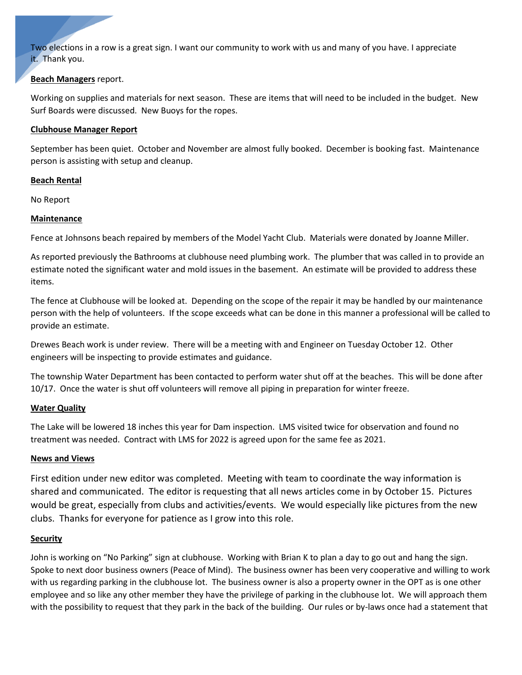Two elections in a row is a great sign. I want our community to work with us and many of you have. I appreciate it. Thank you.

#### **Beach Managers** report.

Working on supplies and materials for next season. These are items that will need to be included in the budget. New Surf Boards were discussed. New Buoys for the ropes.

#### **Clubhouse Manager Report**

September has been quiet. October and November are almost fully booked. December is booking fast. Maintenance person is assisting with setup and cleanup.

## **Beach Rental**

No Report

## **Maintenance**

Fence at Johnsons beach repaired by members of the Model Yacht Club. Materials were donated by Joanne Miller.

As reported previously the Bathrooms at clubhouse need plumbing work. The plumber that was called in to provide an estimate noted the significant water and mold issues in the basement. An estimate will be provided to address these items.

The fence at Clubhouse will be looked at. Depending on the scope of the repair it may be handled by our maintenance person with the help of volunteers. If the scope exceeds what can be done in this manner a professional will be called to provide an estimate.

Drewes Beach work is under review. There will be a meeting with and Engineer on Tuesday October 12. Other engineers will be inspecting to provide estimates and guidance.

The township Water Department has been contacted to perform water shut off at the beaches. This will be done after 10/17. Once the water is shut off volunteers will remove all piping in preparation for winter freeze.

## **Water Quality**

The Lake will be lowered 18 inches this year for Dam inspection. LMS visited twice for observation and found no treatment was needed. Contract with LMS for 2022 is agreed upon for the same fee as 2021.

#### **News and Views**

First edition under new editor was completed. Meeting with team to coordinate the way information is shared and communicated. The editor is requesting that all news articles come in by October 15. Pictures would be great, especially from clubs and activities/events. We would especially like pictures from the new clubs. Thanks for everyone for patience as I grow into this role.

#### **Security**

John is working on "No Parking" sign at clubhouse. Working with Brian K to plan a day to go out and hang the sign. Spoke to next door business owners (Peace of Mind). The business owner has been very cooperative and willing to work with us regarding parking in the clubhouse lot. The business owner is also a property owner in the OPT as is one other employee and so like any other member they have the privilege of parking in the clubhouse lot. We will approach them with the possibility to request that they park in the back of the building. Our rules or by-laws once had a statement that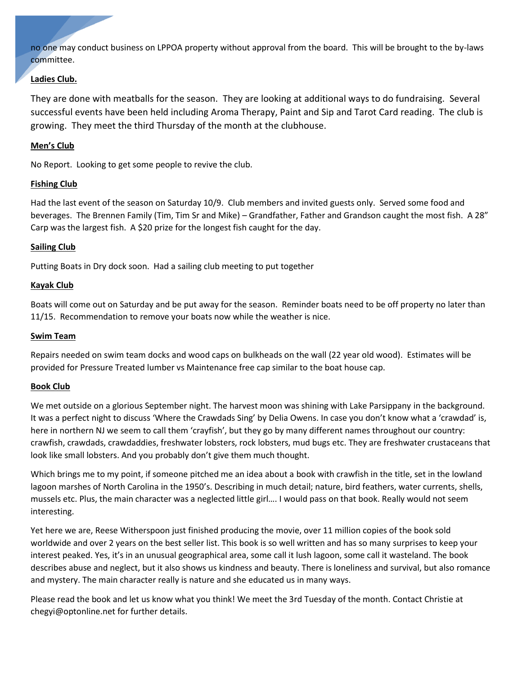no one may conduct business on LPPOA property without approval from the board. This will be brought to the by-laws committee.

## **Ladies Club.**

They are done with meatballs for the season. They are looking at additional ways to do fundraising. Several successful events have been held including Aroma Therapy, Paint and Sip and Tarot Card reading. The club is growing. They meet the third Thursday of the month at the clubhouse.

## **Men's Club**

No Report. Looking to get some people to revive the club.

#### **Fishing Club**

Had the last event of the season on Saturday 10/9. Club members and invited guests only. Served some food and beverages. The Brennen Family (Tim, Tim Sr and Mike) – Grandfather, Father and Grandson caught the most fish. A 28" Carp was the largest fish. A \$20 prize for the longest fish caught for the day.

#### **Sailing Club**

Putting Boats in Dry dock soon. Had a sailing club meeting to put together

## **Kayak Club**

Boats will come out on Saturday and be put away for the season. Reminder boats need to be off property no later than 11/15. Recommendation to remove your boats now while the weather is nice.

#### **Swim Team**

Repairs needed on swim team docks and wood caps on bulkheads on the wall (22 year old wood). Estimates will be provided for Pressure Treated lumber vs Maintenance free cap similar to the boat house cap.

#### **Book Club**

We met outside on a glorious September night. The harvest moon was shining with Lake Parsippany in the background. It was a perfect night to discuss 'Where the Crawdads Sing' by Delia Owens. In case you don't know what a 'crawdad' is, here in northern NJ we seem to call them 'crayfish', but they go by many different names throughout our country: crawfish, crawdads, crawdaddies, freshwater lobsters, rock lobsters, mud bugs etc. They are freshwater crustaceans that look like small lobsters. And you probably don't give them much thought.

Which brings me to my point, if someone pitched me an idea about a book with crawfish in the title, set in the lowland lagoon marshes of North Carolina in the 1950's. Describing in much detail; nature, bird feathers, water currents, shells, mussels etc. Plus, the main character was a neglected little girl…. I would pass on that book. Really would not seem interesting.

Yet here we are, Reese Witherspoon just finished producing the movie, over 11 million copies of the book sold worldwide and over 2 years on the best seller list. This book is so well written and has so many surprises to keep your interest peaked. Yes, it's in an unusual geographical area, some call it lush lagoon, some call it wasteland. The book describes abuse and neglect, but it also shows us kindness and beauty. There is loneliness and survival, but also romance and mystery. The main character really is nature and she educated us in many ways.

Please read the book and let us know what you think! We meet the 3rd Tuesday of the month. Contact Christie at chegyi@optonline.net for further details.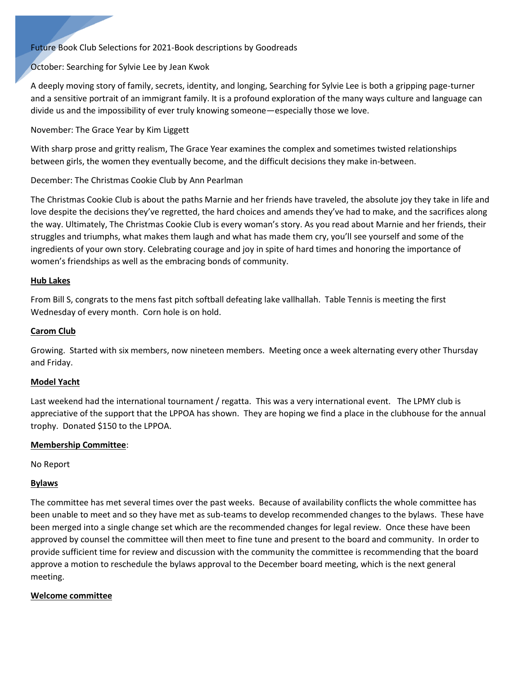## Future Book Club Selections for 2021-Book descriptions by Goodreads

October: Searching for Sylvie Lee by Jean Kwok

A deeply moving story of family, secrets, identity, and longing, Searching for Sylvie Lee is both a gripping page-turner and a sensitive portrait of an immigrant family. It is a profound exploration of the many ways culture and language can divide us and the impossibility of ever truly knowing someone—especially those we love.

November: The Grace Year by Kim Liggett

With sharp prose and gritty realism, The Grace Year examines the complex and sometimes twisted relationships between girls, the women they eventually become, and the difficult decisions they make in-between.

December: The Christmas Cookie Club by Ann Pearlman

The Christmas Cookie Club is about the paths Marnie and her friends have traveled, the absolute joy they take in life and love despite the decisions they've regretted, the hard choices and amends they've had to make, and the sacrifices along the way. Ultimately, The Christmas Cookie Club is every woman's story. As you read about Marnie and her friends, their struggles and triumphs, what makes them laugh and what has made them cry, you'll see yourself and some of the ingredients of your own story. Celebrating courage and joy in spite of hard times and honoring the importance of women's friendships as well as the embracing bonds of community.

#### **Hub Lakes**

From Bill S, congrats to the mens fast pitch softball defeating lake vallhallah. Table Tennis is meeting the first Wednesday of every month. Corn hole is on hold.

#### **Carom Club**

Growing. Started with six members, now nineteen members. Meeting once a week alternating every other Thursday and Friday.

#### **Model Yacht**

Last weekend had the international tournament / regatta. This was a very international event. The LPMY club is appreciative of the support that the LPPOA has shown. They are hoping we find a place in the clubhouse for the annual trophy. Donated \$150 to the LPPOA.

#### **Membership Committee**:

No Report

#### **Bylaws**

The committee has met several times over the past weeks. Because of availability conflicts the whole committee has been unable to meet and so they have met as sub-teams to develop recommended changes to the bylaws. These have been merged into a single change set which are the recommended changes for legal review. Once these have been approved by counsel the committee will then meet to fine tune and present to the board and community. In order to provide sufficient time for review and discussion with the community the committee is recommending that the board approve a motion to reschedule the bylaws approval to the December board meeting, which is the next general meeting.

#### **Welcome committee**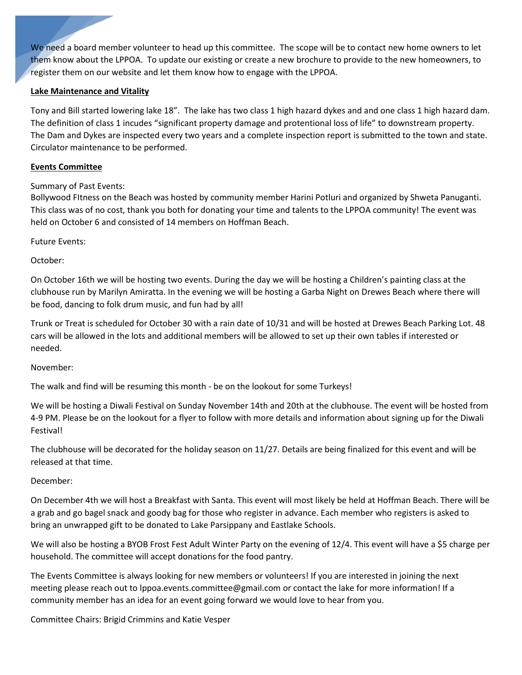We need a board member volunteer to head up this committee. The scope will be to contact new home owners to let them know about the LPPOA. To update our existing or create a new brochure to provide to the new homeowners, to register them on our website and let them know how to engage with the LPPOA.

#### **Lake Maintenance and Vitality**

Tony and Bill started lowering lake 18". The lake has two class 1 high hazard dykes and and one class 1 high hazard dam. The definition of class 1 incudes "significant property damage and protentional loss of life" to downstream property. The Dam and Dykes are inspected every two years and a complete inspection report is submitted to the town and state. Circulator maintenance to be performed.

#### **Events Committee**

Summary of Past Events:

Bollywood FItness on the Beach was hosted by community member Harini Potluri and organized by Shweta Panuganti. This class was of no cost, thank you both for donating your time and talents to the LPPOA community! The event was held on October 6 and consisted of 14 members on Hoffman Beach.

Future Events:

October:

On October 16th we will be hosting two events. During the day we will be hosting a Children's painting class at the clubhouse run by Marilyn Amiratta. In the evening we will be hosting a Garba Night on Drewes Beach where there will be food, dancing to folk drum music, and fun had by all!

Trunk or Treat is scheduled for October 30 with a rain date of 10/31 and will be hosted at Drewes Beach Parking Lot. 48 cars will be allowed in the lots and additional members will be allowed to set up their own tables if interested or needed.

November:

The walk and find will be resuming this month - be on the lookout for some Turkeys!

We will be hosting a Diwali Festival on Sunday November 14th and 20th at the clubhouse. The event will be hosted from 4-9 PM. Please be on the lookout for a flyer to follow with more details and information about signing up for the Diwali Festival!

The clubhouse will be decorated for the holiday season on 11/27. Details are being finalized for this event and will be released at that time.

## December:

On December 4th we will host a Breakfast with Santa. This event will most likely be held at Hoffman Beach. There will be a grab and go bagel snack and goody bag for those who register in advance. Each member who registers is asked to bring an unwrapped gift to be donated to Lake Parsippany and Eastlake Schools.

We will also be hosting a BYOB Frost Fest Adult Winter Party on the evening of 12/4. This event will have a \$5 charge per household. The committee will accept donations for the food pantry.

The Events Committee is always looking for new members or volunteers! If you are interested in joining the next meeting please reach out to [lppoa.events.committee@gmail.com](mailto:lppoa.events.committee@gmail.com) or contact the lake for more information! If a community member has an idea for an event going forward we would love to hear from you.

Committee Chairs: Brigid Crimmins and Katie Vesper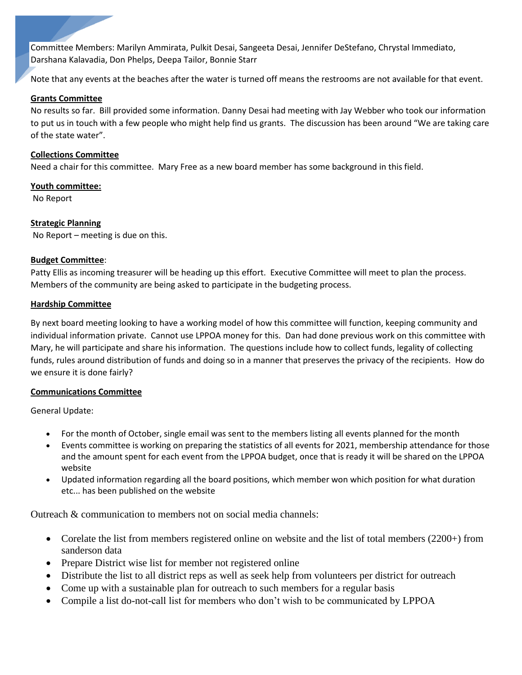Committee Members: Marilyn Ammirata, Pulkit Desai, Sangeeta Desai, Jennifer DeStefano, Chrystal Immediato, Darshana Kalavadia, Don Phelps, Deepa Tailor, Bonnie Starr

Note that any events at the beaches after the water is turned off means the restrooms are not available for that event.

#### **Grants Committee**

No results so far. Bill provided some information. Danny Desai had meeting with Jay Webber who took our information to put us in touch with a few people who might help find us grants. The discussion has been around "We are taking care of the state water".

## **Collections Committee**

Need a chair for this committee. Mary Free as a new board member has some background in this field.

## **Youth committee:**

No Report

## **Strategic Planning**

No Report – meeting is due on this.

## **Budget Committee**:

Patty Ellis as incoming treasurer will be heading up this effort. Executive Committee will meet to plan the process. Members of the community are being asked to participate in the budgeting process.

## **Hardship Committee**

By next board meeting looking to have a working model of how this committee will function, keeping community and individual information private. Cannot use LPPOA money for this. Dan had done previous work on this committee with Mary, he will participate and share his information. The questions include how to collect funds, legality of collecting funds, rules around distribution of funds and doing so in a manner that preserves the privacy of the recipients. How do we ensure it is done fairly?

## **Communications Committee**

General Update:

- For the month of October, single email was sent to the members listing all events planned for the month
- Events committee is working on preparing the statistics of all events for 2021, membership attendance for those and the amount spent for each event from the LPPOA budget, once that is ready it will be shared on the LPPOA website
- Updated information regarding all the board positions, which member won which position for what duration etc... has been published on the website

Outreach & communication to members not on social media channels:

- Corelate the list from members registered online on website and the list of total members (2200+) from sanderson data
- Prepare District wise list for member not registered online
- Distribute the list to all district reps as well as seek help from volunteers per district for outreach
- Come up with a sustainable plan for outreach to such members for a regular basis
- Compile a list do-not-call list for members who don't wish to be communicated by LPPOA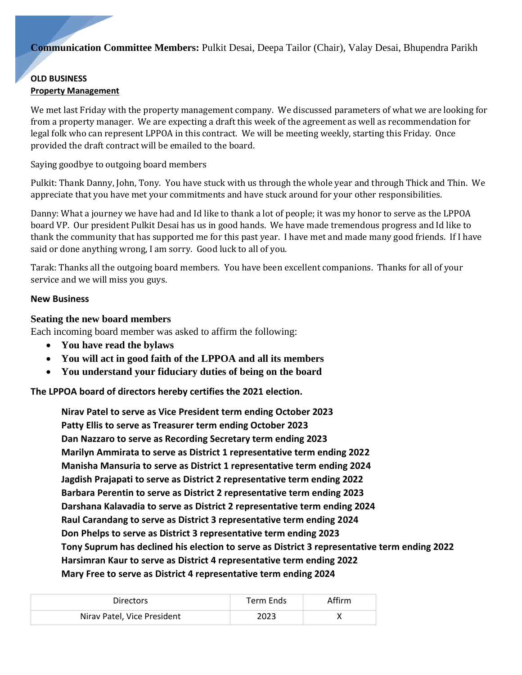# **Communication Committee Members:** Pulkit Desai, Deepa Tailor (Chair), Valay Desai, Bhupendra Parikh

#### **OLD BUSINESS Property Management**

We met last Friday with the property management company. We discussed parameters of what we are looking for from a property manager. We are expecting a draft this week of the agreement as well as recommendation for legal folk who can represent LPPOA in this contract. We will be meeting weekly, starting this Friday. Once provided the draft contract will be emailed to the board.

Saying goodbye to outgoing board members

Pulkit: Thank Danny, John, Tony. You have stuck with us through the whole year and through Thick and Thin. We appreciate that you have met your commitments and have stuck around for your other responsibilities.

Danny: What a journey we have had and Id like to thank a lot of people; it was my honor to serve as the LPPOA board VP. Our president Pulkit Desai has us in good hands. We have made tremendous progress and Id like to thank the community that has supported me for this past year. I have met and made many good friends. If I have said or done anything wrong, I am sorry. Good luck to all of you.

Tarak: Thanks all the outgoing board members. You have been excellent companions. Thanks for all of your service and we will miss you guys.

## **New Business**

## **Seating the new board members**

Each incoming board member was asked to affirm the following:

- **You have read the bylaws**
- **You will act in good faith of the LPPOA and all its members**
- **You understand your fiduciary duties of being on the board**

**The LPPOA board of directors hereby certifies the 2021 election.** 

**Nirav Patel to serve as Vice President term ending October 2023 Patty Ellis to serve as Treasurer term ending October 2023 Dan Nazzaro to serve as Recording Secretary term ending 2023 Marilyn Ammirata to serve as District 1 representative term ending 2022 Manisha Mansuria to serve as District 1 representative term ending 2024 Jagdish Prajapati to serve as District 2 representative term ending 2022 Barbara Perentin to serve as District 2 representative term ending 2023 Darshana Kalavadia to serve as District 2 representative term ending 2024 Raul Carandang to serve as District 3 representative term ending 2024 Don Phelps to serve as District 3 representative term ending 2023 Tony Suprum has declined his election to serve as District 3 representative term ending 2022 Harsimran Kaur to serve as District 4 representative term ending 2022 Mary Free to serve as District 4 representative term ending 2024**

| <b>Directors</b>            | Term Ends | Affirm |
|-----------------------------|-----------|--------|
| Nirav Patel, Vice President | 2023      |        |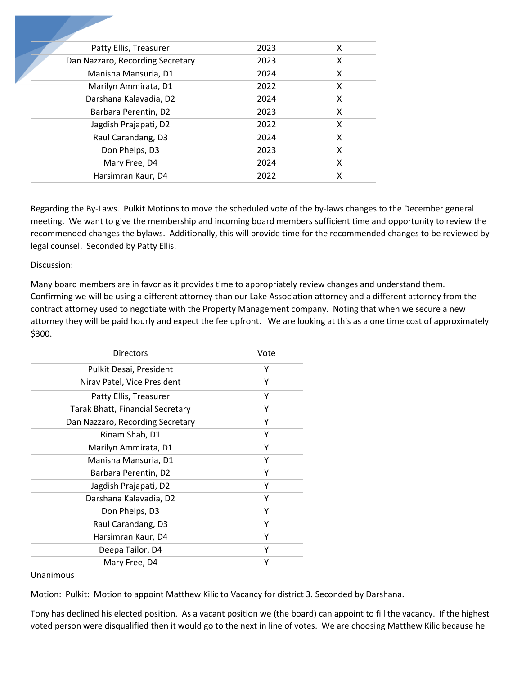| Patty Ellis, Treasurer           | 2023 | x |
|----------------------------------|------|---|
| Dan Nazzaro, Recording Secretary | 2023 | x |
| Manisha Mansuria, D1             | 2024 | x |
| Marilyn Ammirata, D1             | 2022 | x |
| Darshana Kalavadia, D2           | 2024 | X |
| Barbara Perentin, D2             | 2023 | x |
| Jagdish Prajapati, D2            | 2022 | X |
| Raul Carandang, D3               | 2024 | x |
| Don Phelps, D3                   | 2023 | x |
| Mary Free, D4                    | 2024 | x |
| Harsimran Kaur, D4               | 2022 | x |

Regarding the By-Laws. Pulkit Motions to move the scheduled vote of the by-laws changes to the December general meeting. We want to give the membership and incoming board members sufficient time and opportunity to review the recommended changes the bylaws. Additionally, this will provide time for the recommended changes to be reviewed by legal counsel. Seconded by Patty Ellis.

## Discussion:

Many board members are in favor as it provides time to appropriately review changes and understand them. Confirming we will be using a different attorney than our Lake Association attorney and a different attorney from the contract attorney used to negotiate with the Property Management company. Noting that when we secure a new attorney they will be paid hourly and expect the fee upfront. We are looking at this as a one time cost of approximately \$300.

| <b>Directors</b>                 | Vote |
|----------------------------------|------|
| Pulkit Desai, President          | Υ    |
| Nirav Patel, Vice President      | Υ    |
| Patty Ellis, Treasurer           | Υ    |
| Tarak Bhatt, Financial Secretary | Υ    |
| Dan Nazzaro, Recording Secretary | Υ    |
| Rinam Shah, D1                   | Y    |
| Marilyn Ammirata, D1             | Υ    |
| Manisha Mansuria, D1             | Υ    |
| Barbara Perentin, D2             | Υ    |
| Jagdish Prajapati, D2            | Υ    |
| Darshana Kalavadia, D2           | Υ    |
| Don Phelps, D3                   | Υ    |
| Raul Carandang, D3               | Y    |
| Harsimran Kaur, D4               | Y    |
| Deepa Tailor, D4                 | Υ    |
| Mary Free, D4                    | Υ    |

Unanimous

Motion: Pulkit: Motion to appoint Matthew Kilic to Vacancy for district 3. Seconded by Darshana.

Tony has declined his elected position. As a vacant position we (the board) can appoint to fill the vacancy. If the highest voted person were disqualified then it would go to the next in line of votes. We are choosing Matthew Kilic because he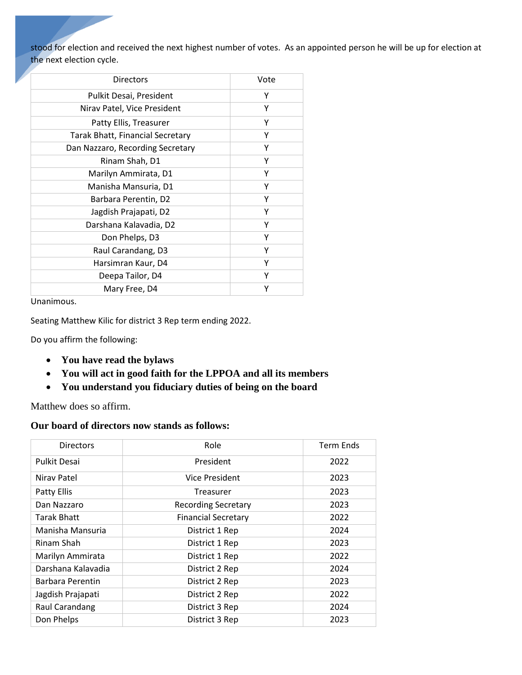stood for election and received the next highest number of votes. As an appointed person he will be up for election at the next election cycle.

| <b>Directors</b>                        | Vote |
|-----------------------------------------|------|
| Pulkit Desai, President                 | Y    |
| Nirav Patel, Vice President             | Y    |
| Patty Ellis, Treasurer                  | Υ    |
| <b>Tarak Bhatt, Financial Secretary</b> | Υ    |
| Dan Nazzaro, Recording Secretary        | Y    |
| Rinam Shah, D1                          | Υ    |
| Marilyn Ammirata, D1                    | Y    |
| Manisha Mansuria, D1                    | Y    |
| Barbara Perentin, D2                    | Υ    |
| Jagdish Prajapati, D2                   | Υ    |
| Darshana Kalavadia, D2                  | Y    |
| Don Phelps, D3                          | Y    |
| Raul Carandang, D3                      | Y    |
| Harsimran Kaur, D4                      | Υ    |
| Deepa Tailor, D4                        | Y    |
| Mary Free, D4                           | Υ    |

Unanimous.

Seating Matthew Kilic for district 3 Rep term ending 2022.

Do you affirm the following:

- **You have read the bylaws**
- **You will act in good faith for the LPPOA and all its members**
- **You understand you fiduciary duties of being on the board**

Matthew does so affirm.

# **Our board of directors now stands as follows:**

| <b>Directors</b>    | Role                       | <b>Term Ends</b> |
|---------------------|----------------------------|------------------|
| <b>Pulkit Desai</b> | President                  | 2022             |
| Niray Patel         | Vice President             | 2023             |
| Patty Ellis         | Treasurer                  | 2023             |
| Dan Nazzaro         | <b>Recording Secretary</b> | 2023             |
| Tarak Bhatt         | <b>Financial Secretary</b> | 2022             |
| Manisha Mansuria    | District 1 Rep             | 2024             |
| Rinam Shah          | District 1 Rep             | 2023             |
| Marilyn Ammirata    | District 1 Rep             | 2022             |
| Darshana Kalavadia  | District 2 Rep             | 2024             |
| Barbara Perentin    | District 2 Rep             | 2023             |
| Jagdish Prajapati   | District 2 Rep             | 2022             |
| Raul Carandang      | District 3 Rep             | 2024             |
| Don Phelps          | District 3 Rep             | 2023             |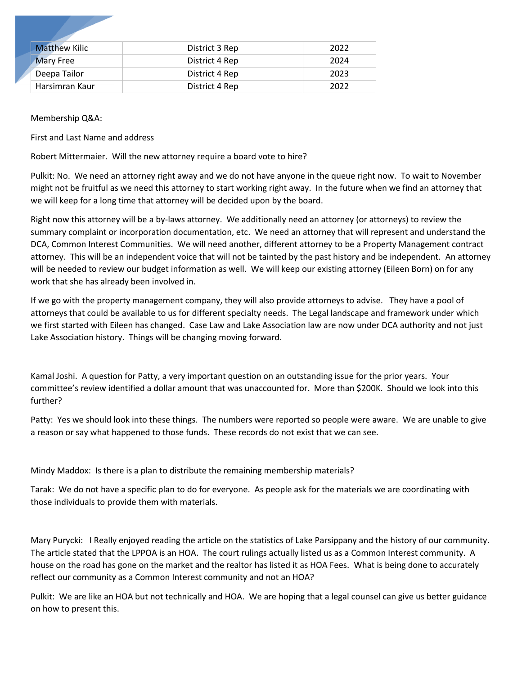| <b>Matthew Kilic</b> | District 3 Rep | 2022 |
|----------------------|----------------|------|
| <b>Mary Free</b>     | District 4 Rep | 2024 |
| Deepa Tailor         | District 4 Rep | 2023 |
| Harsimran Kaur       | District 4 Rep | 2022 |

Membership Q&A:

First and Last Name and address

Robert Mittermaier. Will the new attorney require a board vote to hire?

Pulkit: No. We need an attorney right away and we do not have anyone in the queue right now. To wait to November might not be fruitful as we need this attorney to start working right away. In the future when we find an attorney that we will keep for a long time that attorney will be decided upon by the board.

Right now this attorney will be a by-laws attorney. We additionally need an attorney (or attorneys) to review the summary complaint or incorporation documentation, etc. We need an attorney that will represent and understand the DCA, Common Interest Communities. We will need another, different attorney to be a Property Management contract attorney. This will be an independent voice that will not be tainted by the past history and be independent. An attorney will be needed to review our budget information as well. We will keep our existing attorney (Eileen Born) on for any work that she has already been involved in.

If we go with the property management company, they will also provide attorneys to advise. They have a pool of attorneys that could be available to us for different specialty needs. The Legal landscape and framework under which we first started with Eileen has changed. Case Law and Lake Association law are now under DCA authority and not just Lake Association history. Things will be changing moving forward.

Kamal Joshi. A question for Patty, a very important question on an outstanding issue for the prior years. Your committee's review identified a dollar amount that was unaccounted for. More than \$200K. Should we look into this further?

Patty: Yes we should look into these things. The numbers were reported so people were aware. We are unable to give a reason or say what happened to those funds. These records do not exist that we can see.

Mindy Maddox: Is there is a plan to distribute the remaining membership materials?

Tarak: We do not have a specific plan to do for everyone. As people ask for the materials we are coordinating with those individuals to provide them with materials.

Mary Purycki: I Really enjoyed reading the article on the statistics of Lake Parsippany and the history of our community. The article stated that the LPPOA is an HOA. The court rulings actually listed us as a Common Interest community. A house on the road has gone on the market and the realtor has listed it as HOA Fees. What is being done to accurately reflect our community as a Common Interest community and not an HOA?

Pulkit: We are like an HOA but not technically and HOA. We are hoping that a legal counsel can give us better guidance on how to present this.